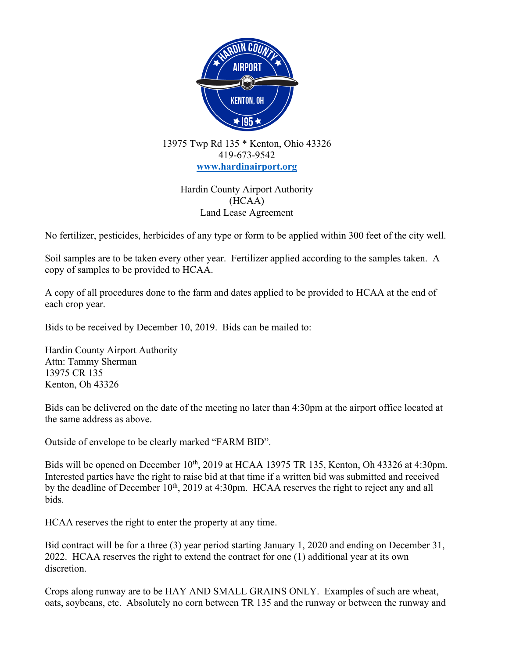

13975 Twp Rd 135 \* Kenton, Ohio 43326 419-673-9542 **www.hardinairport.org**

> Hardin County Airport Authority (HCAA) Land Lease Agreement

No fertilizer, pesticides, herbicides of any type or form to be applied within 300 feet of the city well.

Soil samples are to be taken every other year. Fertilizer applied according to the samples taken. A copy of samples to be provided to HCAA.

A copy of all procedures done to the farm and dates applied to be provided to HCAA at the end of each crop year.

Bids to be received by December 10, 2019. Bids can be mailed to:

Hardin County Airport Authority Attn: Tammy Sherman 13975 CR 135 Kenton, Oh 43326

Bids can be delivered on the date of the meeting no later than 4:30pm at the airport office located at the same address as above.

Outside of envelope to be clearly marked "FARM BID".

Bids will be opened on December 10<sup>th</sup>, 2019 at HCAA 13975 TR 135, Kenton, Oh 43326 at 4:30pm. Interested parties have the right to raise bid at that time if a written bid was submitted and received by the deadline of December 10<sup>th</sup>, 2019 at 4:30pm. HCAA reserves the right to reject any and all bids.

HCAA reserves the right to enter the property at any time.

Bid contract will be for a three (3) year period starting January 1, 2020 and ending on December 31, 2022. HCAA reserves the right to extend the contract for one (1) additional year at its own discretion.

Crops along runway are to be HAY AND SMALL GRAINS ONLY. Examples of such are wheat, oats, soybeans, etc. Absolutely no corn between TR 135 and the runway or between the runway and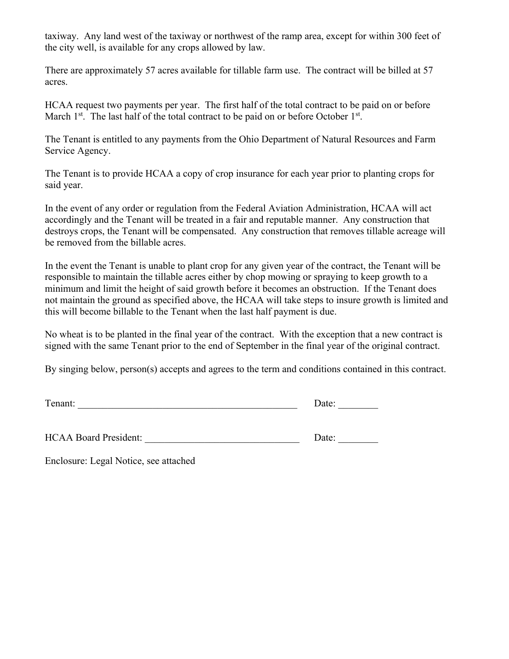taxiway. Any land west of the taxiway or northwest of the ramp area, except for within 300 feet of the city well, is available for any crops allowed by law.

There are approximately 57 acres available for tillable farm use. The contract will be billed at 57 acres.

HCAA request two payments per year. The first half of the total contract to be paid on or before March  $1<sup>st</sup>$ . The last half of the total contract to be paid on or before October  $1<sup>st</sup>$ .

The Tenant is entitled to any payments from the Ohio Department of Natural Resources and Farm Service Agency.

The Tenant is to provide HCAA a copy of crop insurance for each year prior to planting crops for said year.

In the event of any order or regulation from the Federal Aviation Administration, HCAA will act accordingly and the Tenant will be treated in a fair and reputable manner. Any construction that destroys crops, the Tenant will be compensated. Any construction that removes tillable acreage will be removed from the billable acres.

In the event the Tenant is unable to plant crop for any given year of the contract, the Tenant will be responsible to maintain the tillable acres either by chop mowing or spraying to keep growth to a minimum and limit the height of said growth before it becomes an obstruction. If the Tenant does not maintain the ground as specified above, the HCAA will take steps to insure growth is limited and this will become billable to the Tenant when the last half payment is due.

No wheat is to be planted in the final year of the contract. With the exception that a new contract is signed with the same Tenant prior to the end of September in the final year of the original contract.

By singing below, person(s) accepts and agrees to the term and conditions contained in this contract.

Tenant: \_\_\_\_\_\_\_\_\_\_\_\_\_\_\_\_\_\_\_\_\_\_\_\_\_\_\_\_\_\_\_\_\_\_\_\_\_\_\_\_\_\_\_\_ Date: \_\_\_\_\_\_\_\_

HCAA Board President: \_\_\_\_\_\_\_\_\_\_\_\_\_\_\_\_\_\_\_\_\_\_\_\_\_\_\_\_\_\_\_ Date: \_\_\_\_\_\_\_\_

Enclosure: Legal Notice, see attached